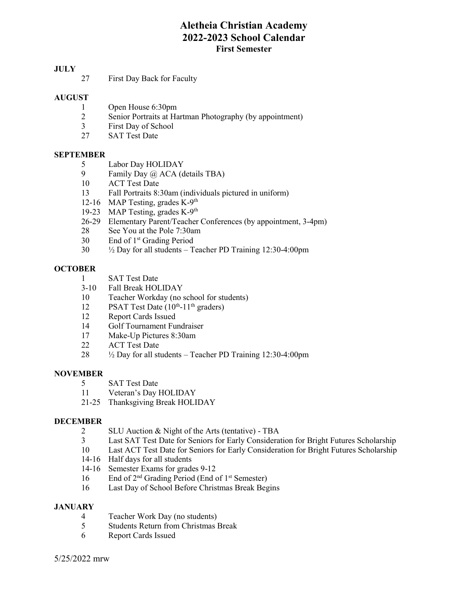# Aletheia Christian Academy 2022-2023 School Calendar First Semester

## **JULY**

27 First Day Back for Faculty

## AUGUST

- 1 Open House 6:30pm
- 2 Senior Portraits at Hartman Photography (by appointment)
- 3 First Day of School
- 27 SAT Test Date

### SEPTEMBER

- 5 Labor Day HOLIDAY
- 9 Family Day @ ACA (details TBA)
- 10 ACT Test Date
- 13 Fall Portraits 8:30am (individuals pictured in uniform)
- 12-16 MAP Testing, grades  $K-9<sup>th</sup>$
- 19-23 MAP Testing, grades K-9<sup>th</sup>
- 26-29 Elementary Parent/Teacher Conferences (by appointment, 3-4pm)
- 28 See You at the Pole 7:30am
- 30 End of 1st Grading Period
- 30 ½ Day for all students Teacher PD Training 12:30-4:00pm

## **OCTOBER**

- 1 SAT Test Date
- 3-10 Fall Break HOLIDAY
- 10 Teacher Workday (no school for students)
- 12 PSAT Test Date  $(10^{th} 11^{th}$  graders)
- 12 Report Cards Issued
- 14 Golf Tournament Fundraiser
- 17 Make-Up Pictures 8:30am
- 22 ACT Test Date
- $28$   $\frac{1}{2}$  Day for all students Teacher PD Training 12:30-4:00pm

### **NOVEMBER**

- 5 SAT Test Date
- 11 Veteran's Day HOLIDAY
- 21-25 Thanksgiving Break HOLIDAY

### DECEMBER

- 2 SLU Auction & Night of the Arts (tentative) TBA
- 3 Last SAT Test Date for Seniors for Early Consideration for Bright Futures Scholarship
- 10 Last ACT Test Date for Seniors for Early Consideration for Bright Futures Scholarship
- 14-16 Half days for all students
- 14-16 Semester Exams for grades 9-12
- 16 End of  $2<sup>nd</sup>$  Grading Period (End of  $1<sup>st</sup>$  Semester)
- 16 Last Day of School Before Christmas Break Begins

### **JANUARY**

- 4 Teacher Work Day (no students)
- 5 Students Return from Christmas Break
- 6 Report Cards Issued